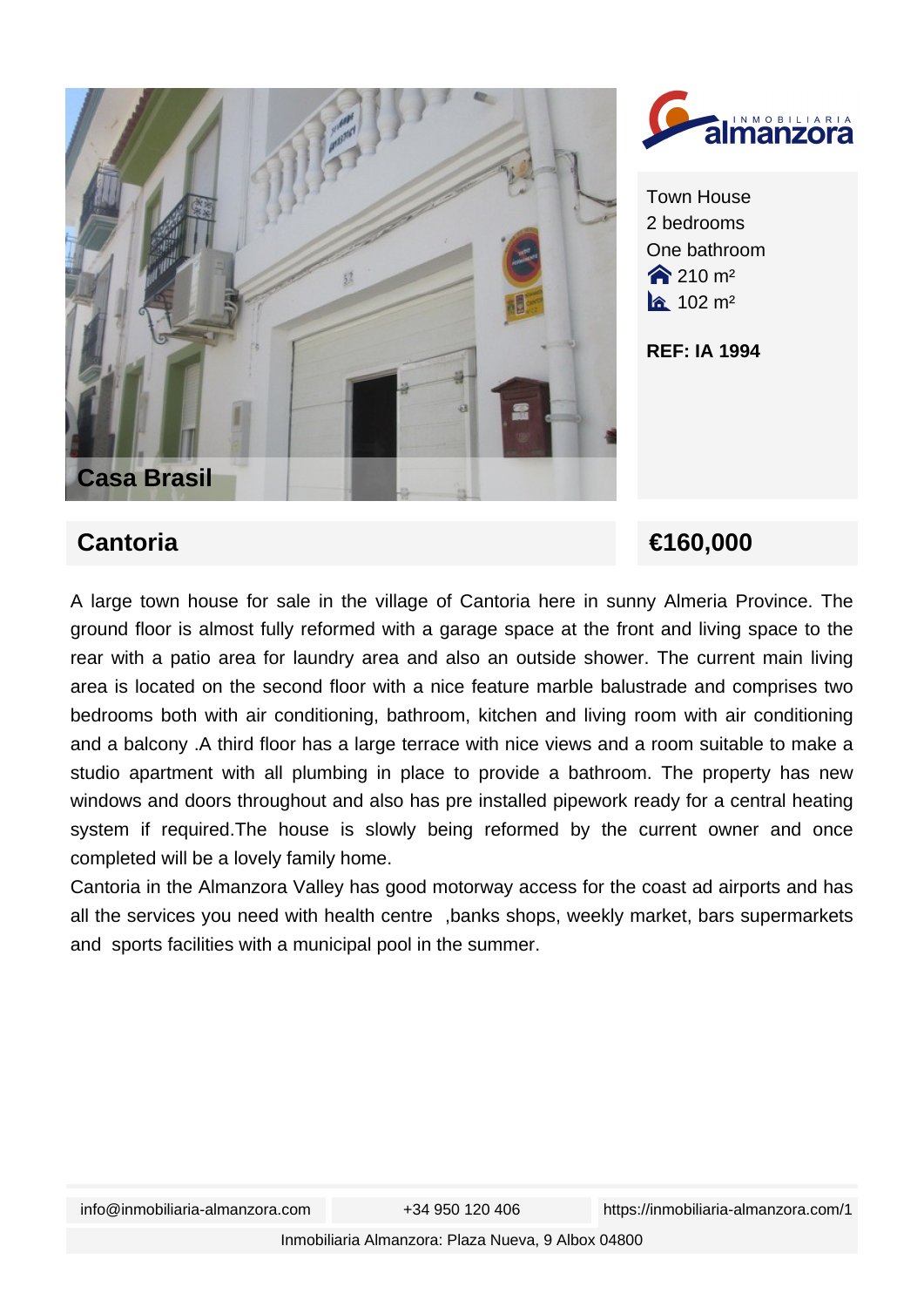



Town House 2 bedrooms One bathroom  $210 m<sup>2</sup>$  $a$  102 m<sup>2</sup>

**REF: IA 1994**

## **Cantoria €160,000**

A large town house for sale in the village of Cantoria here in sunny Almeria Province. The ground floor is almost fully reformed with a garage space at the front and living space to the rear with a patio area for laundry area and also an outside shower. The current main living area is located on the second floor with a nice feature marble balustrade and comprises two bedrooms both with air conditioning, bathroom, kitchen and living room with air conditioning and a balcony .A third floor has a large terrace with nice views and a room suitable to make a studio apartment with all plumbing in place to provide a bathroom. The property has new windows and doors throughout and also has pre installed pipework ready for a central heating system if required.The house is slowly being reformed by the current owner and once completed will be a lovely family home.

Cantoria in the Almanzora Valley has good motorway access for the coast ad airports and has all the services you need with health centre ,banks shops, weekly market, bars supermarkets and sports facilities with a municipal pool in the summer.